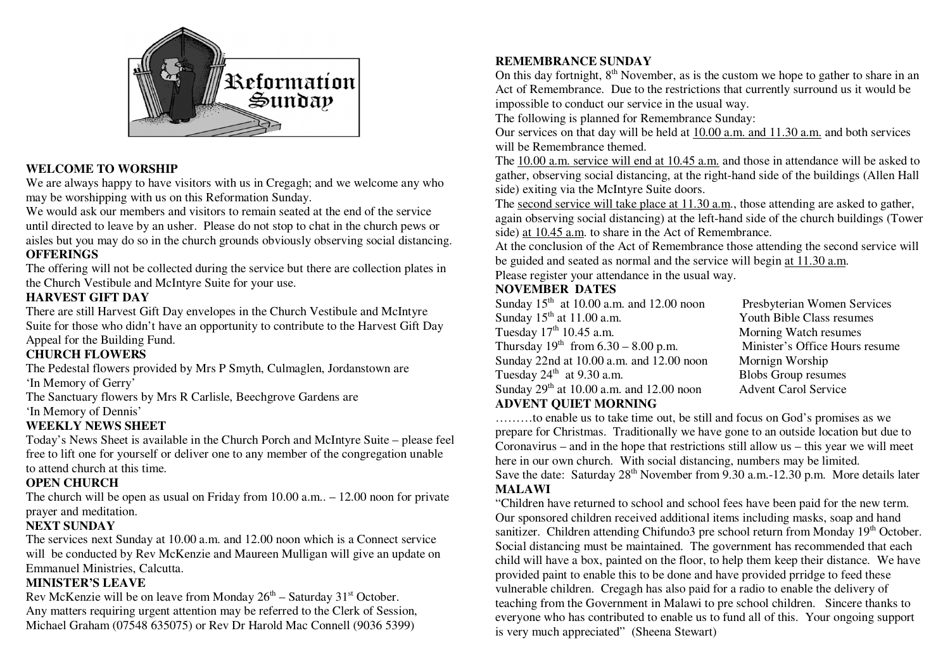

### **WELCOME TO WORSHIP**

 We are always happy to have visitors with us in Cregagh; and we welcome any who may be worshipping with us on this Reformation Sunday.

We would ask our members and visitors to remain seated at the end of the service until directed to leave by an usher. Please do not stop to chat in the church pews or aisles but you may do so in the church grounds obviously observing social distancing. **OFFERINGS** 

 The offering will not be collected during the service but there are collection plates in the Church Vestibule and McIntyre Suite for your use.

### **HARVEST GIFT DAY**

 There are still Harvest Gift Day envelopes in the Church Vestibule and McIntyre Suite for those who didn't have an opportunity to contribute to the Harvest Gift Day Appeal for the Building Fund.

### **CHURCH FLOWERS**

 The Pedestal flowers provided by Mrs P Smyth, Culmaglen, Jordanstown are 'In Memory of Gerry'

 The Sanctuary flowers by Mrs R Carlisle, Beechgrove Gardens are 'In Memory of Dennis'

#### **WEEKLY NEWS SHEET**

 Today's News Sheet is available in the Church Porch and McIntyre Suite – please feel free to lift one for yourself or deliver one to any member of the congregation unable to attend church at this time.

### **OPEN CHURCH**

 The church will be open as usual on Friday from 10.00 a.m.. – 12.00 noon for private prayer and meditation.

#### **NEXT SUNDAY**

 The services next Sunday at 10.00 a.m. and 12.00 noon which is a Connect service will be conducted by Rev McKenzie and Maureen Mulligan will give an update on Emmanuel Ministries, Calcutta.

### **MINISTER'S LEAVE**

Rev McKenzie will be on leave from Monday  $26<sup>th</sup>$  – Saturday  $31<sup>st</sup>$  October. Any matters requiring urgent attention may be referred to the Clerk of Session, Michael Graham (07548 635075) or Rev Dr Harold Mac Connell (9036 5399)

### **REMEMBRANCE SUNDAY**

On this day fortnight,  $8<sup>th</sup>$  November, as is the custom we hope to gather to share in an Act of Remembrance. Due to the restrictions that currently surround us it would be impossible to conduct our service in the usual way.

The following is planned for Remembrance Sunday:

Our services on that day will be held at  $10.00$  a.m. and  $11.30$  a.m. and both services will be Remembrance themed.

 The 10.00 a.m. service will end at 10.45 a.m. and those in attendance will be asked to gather, observing social distancing, at the right-hand side of the buildings (Allen Hall side) exiting via the McIntyre Suite doors.

The second service will take place at 11.30 a.m., those attending are asked to gather, again observing social distancing) at the left-hand side of the church buildings (Tower side) at 10.45 a.m. to share in the Act of Remembrance.

 At the conclusion of the Act of Remembrance those attending the second service will be guided and seated as normal and the service will begin at 11.30 a.m. Please register your attendance in the usual way.

## **NOVEMBER DATES**

| Sunday $15th$ at 10.00 a.m. and 12.00 noon | Presbyterian Women          |
|--------------------------------------------|-----------------------------|
| Sunday $15th$ at 11.00 a.m.                | Youth Bible Class resu      |
| Tuesday $17th 10.45$ a.m.                  | Morning Watch resum         |
| Thursday $19^{th}$ from 6.30 – 8.00 p.m.   | Minister's Office Hou       |
| Sunday 22nd at 10.00 a.m. and 12.00 noon   | Mornign Worship             |
| Tuesday $24th$ at 9.30 a.m.                | <b>Blobs Group resumes</b>  |
| Sunday $29th$ at 10.00 a.m. and 12.00 noon | <b>Advent Carol Service</b> |
| <b>ADVENT QUIET MORNING</b>                |                             |

Presbyterian Women Services Youth Bible Class resumes Morning Watch resumes Minister's Office Hours resume Mornign Worship

 ………to enable us to take time out, be still and focus on God's promises as we prepare for Christmas. Traditionally we have gone to an outside location but due to Coronavirus – and in the hope that restrictions still allow us – this year we will meet here in our own church. With social distancing, numbers may be limited. Save the date: Saturday  $28<sup>th</sup>$  November from 9.30 a.m.-12.30 p.m. More details later **MALAWI** 

 "Children have returned to school and school fees have been paid for the new term. Our sponsored children received additional items including masks, soap and hand sanitizer. Children attending Chifundo3 pre school return from Monday 19<sup>th</sup> October. Social distancing must be maintained. The government has recommended that each child will have a box, painted on the floor, to help them keep their distance. We have provided paint to enable this to be done and have provided prridge to feed these vulnerable children. Cregagh has also paid for a radio to enable the delivery of teaching from the Government in Malawi to pre school children. Sincere thanks to everyone who has contributed to enable us to fund all of this. Your ongoing support is very much appreciated" (Sheena Stewart)